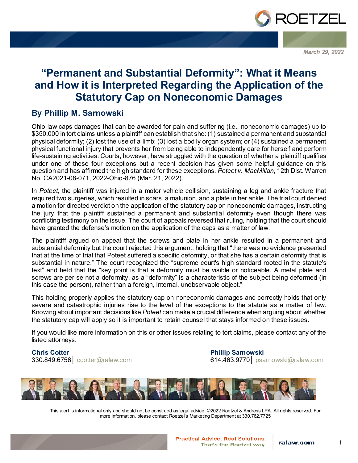

*March 29, 2022*

## **"Permanent and Substantial Deformity": What it Means and How it is Interpreted Regarding the Application of the Statutory Cap on Noneconomic Damages**

### **By Phillip M. Sarnowski**

Ohio law caps damages that can be awarded for pain and suffering (i.e., noneconomic damages) up to \$350,000 in tort claims unless a plaintiff can establish that she: (1) sustained a permanent and substantial physical deformity; (2) lost the use of a limb; (3) lost a bodily organ system; or (4) sustained a permanent physical functional injury that prevents her from being able to independently care for herself and perform life-sustaining activities. Courts, however, have struggled with the question of whether a plaintiff qualifies under one of these four exceptions but a recent decision has given some helpful guidance on this question and has affirmed the high standard for these exceptions. *Poteet v. MacMillan*, 12th Dist. Warren No. CA2021-08-071, 2022-Ohio-876 (Mar. 21, 2022).

In *Poteet*, the plaintiff was injured in a motor vehicle collision, sustaining a leg and ankle fracture that required two surgeries, which resulted in scars, a malunion, and a plate in her ankle. The trial court denied a motion for directed verdict on the application of the statutory cap on noneconomic damages, instructing the jury that the plaintiff sustained a permanent and substantial deformity even though there was conflicting testimony on the issue. The court of appeals reversed that ruling, holding that the court should have granted the defense's motion on the application of the caps as a matter of law.

The plaintiff argued on appeal that the screws and plate in her ankle resulted in a permanent and substantial deformity but the court rejected this argument, holding that "there was no evidence presented that at the time of trial that Poteet suffered a specific deformity, or that she has a certain deformity that is substantial in nature." The court recognized the "supreme court's high standard rooted in the statute's text" and held that the "key point is that a deformity must be visible or noticeable. A metal plate and screws are per se not a deformity, as a "deformity" is a characteristic of the subject being deformed (in this case the person), rather than a foreign, internal, unobservable object."

This holding properly applies the statutory cap on noneconomic damages and correctly holds that only severe and catastrophic injuries rise to the level of the exceptions to the statute as a matter of law. Knowing about important decisions like *Poteet* can make a crucial difference when arguing about whether the statutory cap will apply so it is important to retain counsel that stays informed on these issues.

If you would like more information on this or other issues relating to tort claims, please contact any of the listed attorneys.

**Chris Cotter** 330.849.6756│ [ccotter@ralaw.com](mailto:ccotter@ralaw.com) **Phillip Sarnowski** 614.463.9770│ [psarnowski@ralaw.com](mailto:psarnowski@ralaw.com)



This alert is informational only and should not be construed as legal advice. ©2022 Roetzel & Andress LPA. All rights reserved. For more information, please contact Roetzel's Marketing Department at 330.762.7725